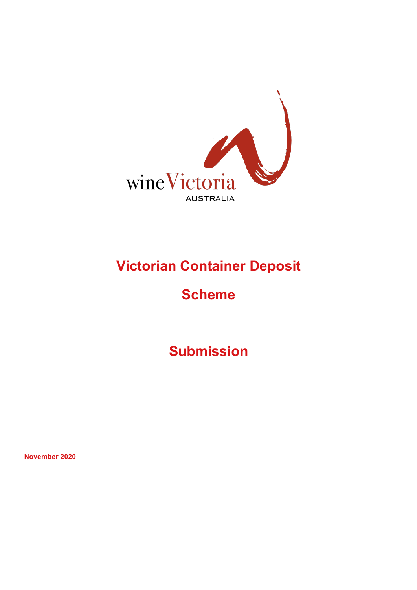

# **Victorian Container Deposit**

## **Scheme**

**Submission** 

**November 2020**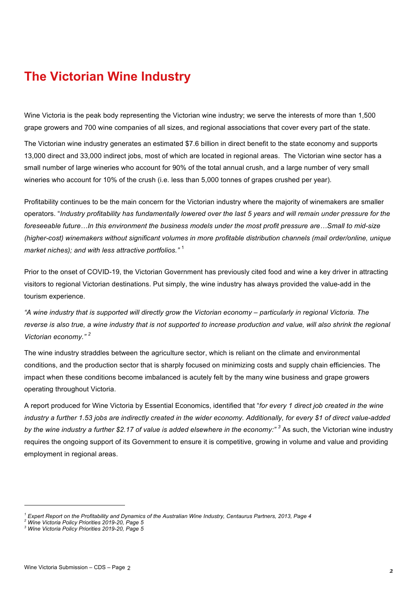### **The Victorian Wine Industry**

Wine Victoria is the peak body representing the Victorian wine industry; we serve the interests of more than 1,500 grape growers and 700 wine companies of all sizes, and regional associations that cover every part of the state.

The Victorian wine industry generates an estimated \$7.6 billion in direct benefit to the state economy and supports 13,000 direct and 33,000 indirect jobs, most of which are located in regional areas. The Victorian wine sector has a small number of large wineries who account for 90% of the total annual crush, and a large number of very small wineries who account for 10% of the crush (i.e. less than 5,000 tonnes of grapes crushed per year).

Profitability continues to be the main concern for the Victorian industry where the majority of winemakers are smaller operators. "*Industry profitability has fundamentally lowered over the last 5 years and will remain under pressure for the foreseeable future…In this environment the business models under the most profit pressure are…Small to mid-size (higher-cost) winemakers without significant volumes in more profitable distribution channels (mail order/online, unique market niches); and with less attractive portfolios."* <sup>1</sup>

Prior to the onset of COVID-19, the Victorian Government has previously cited food and wine a key driver in attracting visitors to regional Victorian destinations. Put simply, the wine industry has always provided the value-add in the tourism experience.

*"A wine industry that is supported will directly grow the Victorian economy – particularly in regional Victoria. The reverse is also true, a wine industry that is not supported to increase production and value, will also shrink the regional Victorian economy." <sup>2</sup>*

The wine industry straddles between the agriculture sector, which is reliant on the climate and environmental conditions, and the production sector that is sharply focused on minimizing costs and supply chain efficiencies*.* The impact when these conditions become imbalanced is acutely felt by the many wine business and grape growers operating throughout Victoria.

A report produced for Wine Victoria by Essential Economics, identified that "*for every 1 direct job created in the wine industry a further 1.53 jobs are indirectly created in the wider economy. Additionally, for every \$1 of direct value-added by the wine industry a further \$2.17 of value is added elsewhere in the economy:" 3* As such, the Victorian wine industry requires the ongoing support of its Government to ensure it is competitive, growing in volume and value and providing employment in regional areas.

*<sup>1</sup> Expert Report on the Profitability and Dynamics of the Australian Wine Industry, Centaurus Partners, 2013, Page 4*

*<sup>2</sup> Wine Victoria Policy Priorities 2019-20, Page 5 3 Wine Victoria Policy Priorities 2019-20, Page 5*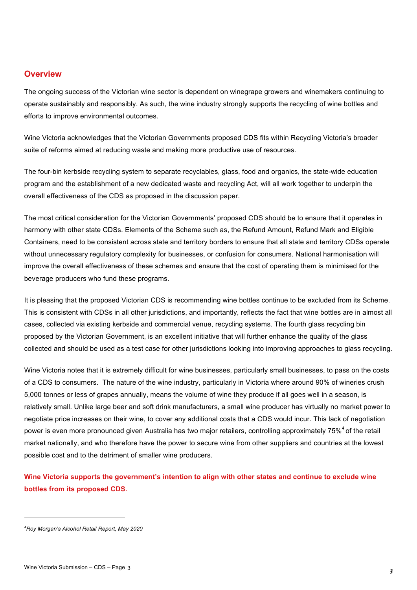#### **Overview**

The ongoing success of the Victorian wine sector is dependent on winegrape growers and winemakers continuing to operate sustainably and responsibly. As such, the wine industry strongly supports the recycling of wine bottles and efforts to improve environmental outcomes.

Wine Victoria acknowledges that the Victorian Governments proposed CDS fits within Recycling Victoria's broader suite of reforms aimed at reducing waste and making more productive use of resources.

The four-bin kerbside recycling system to separate recyclables, glass, food and organics, the state-wide education program and the establishment of a new dedicated waste and recycling Act, will all work together to underpin the overall effectiveness of the CDS as proposed in the discussion paper.

The most critical consideration for the Victorian Governments' proposed CDS should be to ensure that it operates in harmony with other state CDSs. Elements of the Scheme such as, the Refund Amount, Refund Mark and Eligible Containers, need to be consistent across state and territory borders to ensure that all state and territory CDSs operate without unnecessary regulatory complexity for businesses, or confusion for consumers. National harmonisation will improve the overall effectiveness of these schemes and ensure that the cost of operating them is minimised for the beverage producers who fund these programs.

It is pleasing that the proposed Victorian CDS is recommending wine bottles continue to be excluded from its Scheme. This is consistent with CDSs in all other jurisdictions, and importantly, reflects the fact that wine bottles are in almost all cases, collected via existing kerbside and commercial venue, recycling systems. The fourth glass recycling bin proposed by the Victorian Government, is an excellent initiative that will further enhance the quality of the glass collected and should be used as a test case for other jurisdictions looking into improving approaches to glass recycling.

Wine Victoria notes that it is extremely difficult for wine businesses, particularly small businesses, to pass on the costs of a CDS to consumers. The nature of the wine industry, particularly in Victoria where around 90% of wineries crush 5,000 tonnes or less of grapes annually, means the volume of wine they produce if all goes well in a season, is relatively small. Unlike large beer and soft drink manufacturers, a small wine producer has virtually no market power to negotiate price increases on their wine, to cover any additional costs that a CDS would incur. This lack of negotiation power is even more pronounced given Australia has two major retailers, controlling approximately 75%*<sup>4</sup>* of the retail market nationally, and who therefore have the power to secure wine from other suppliers and countries at the lowest possible cost and to the detriment of smaller wine producers.

**Wine Victoria supports the government's intention to align with other states and continue to exclude wine bottles from its proposed CDS.**

*<sup>4</sup> Roy Morgan's Alcohol Retail Report, May 2020*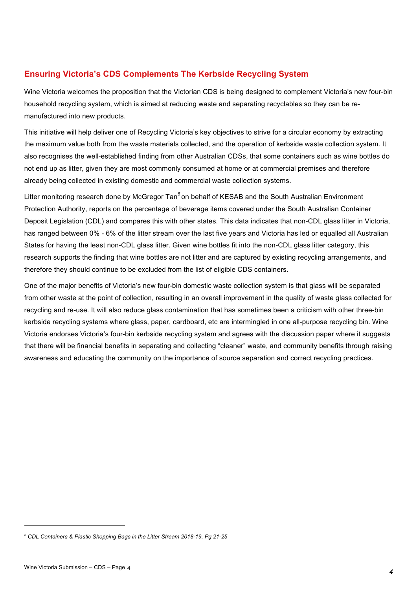#### **Ensuring Victoria's CDS Complements The Kerbside Recycling System**

Wine Victoria welcomes the proposition that the Victorian CDS is being designed to complement Victoria's new four-bin household recycling system, which is aimed at reducing waste and separating recyclables so they can be remanufactured into new products.

This initiative will help deliver one of Recycling Victoria's key objectives to strive for a circular economy by extracting the maximum value both from the waste materials collected, and the operation of kerbside waste collection system. It also recognises the well-established finding from other Australian CDSs, that some containers such as wine bottles do not end up as litter, given they are most commonly consumed at home or at commercial premises and therefore already being collected in existing domestic and commercial waste collection systems.

Litter monitoring research done by McGregor Tan*<sup>5</sup>* on behalf of KESAB and the South Australian Environment Protection Authority, reports on the percentage of beverage items covered under the South Australian Container Deposit Legislation (CDL) and compares this with other states. This data indicates that non-CDL glass litter in Victoria, has ranged between 0% - 6% of the litter stream over the last five years and Victoria has led or equalled all Australian States for having the least non-CDL glass litter. Given wine bottles fit into the non-CDL glass litter category, this research supports the finding that wine bottles are not litter and are captured by existing recycling arrangements, and therefore they should continue to be excluded from the list of eligible CDS containers.

One of the major benefits of Victoria's new four-bin domestic waste collection system is that glass will be separated from other waste at the point of collection, resulting in an overall improvement in the quality of waste glass collected for recycling and re-use. It will also reduce glass contamination that has sometimes been a criticism with other three-bin kerbside recycling systems where glass, paper, cardboard, etc are intermingled in one all-purpose recycling bin. Wine Victoria endorses Victoria's four-bin kerbside recycling system and agrees with the discussion paper where it suggests that there will be financial benefits in separating and collecting "cleaner" waste, and community benefits through raising awareness and educating the community on the importance of source separation and correct recycling practices.

*<sup>5</sup> CDL Containers & Plastic Shopping Bags in the Litter Stream 2018-19, Pg 21-25*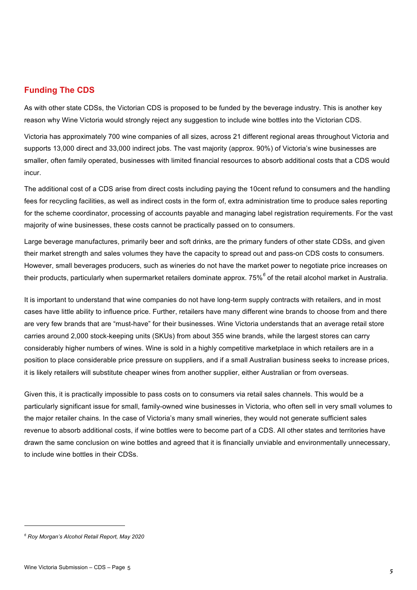#### **Funding The CDS**

As with other state CDSs, the Victorian CDS is proposed to be funded by the beverage industry. This is another key reason why Wine Victoria would strongly reject any suggestion to include wine bottles into the Victorian CDS.

Victoria has approximately 700 wine companies of all sizes, across 21 different regional areas throughout Victoria and supports 13,000 direct and 33,000 indirect jobs. The vast majority (approx. 90%) of Victoria's wine businesses are smaller, often family operated, businesses with limited financial resources to absorb additional costs that a CDS would incur.

The additional cost of a CDS arise from direct costs including paying the 10cent refund to consumers and the handling fees for recycling facilities, as well as indirect costs in the form of, extra administration time to produce sales reporting for the scheme coordinator, processing of accounts payable and managing label registration requirements. For the vast majority of wine businesses, these costs cannot be practically passed on to consumers.

Large beverage manufactures, primarily beer and soft drinks, are the primary funders of other state CDSs, and given their market strength and sales volumes they have the capacity to spread out and pass-on CDS costs to consumers. However, small beverages producers, such as wineries do not have the market power to negotiate price increases on their products, particularly when supermarket retailers dominate approx. 75%*<sup>6</sup>* of the retail alcohol market in Australia.

It is important to understand that wine companies do not have long-term supply contracts with retailers, and in most cases have little ability to influence price. Further, retailers have many different wine brands to choose from and there are very few brands that are "must-have" for their businesses. Wine Victoria understands that an average retail store carries around 2,000 stock-keeping units (SKUs) from about 355 wine brands, while the largest stores can carry considerably higher numbers of wines. Wine is sold in a highly competitive marketplace in which retailers are in a position to place considerable price pressure on suppliers, and if a small Australian business seeks to increase prices, it is likely retailers will substitute cheaper wines from another supplier, either Australian or from overseas.

Given this, it is practically impossible to pass costs on to consumers via retail sales channels. This would be a particularly significant issue for small, family-owned wine businesses in Victoria, who often sell in very small volumes to the major retailer chains. In the case of Victoria's many small wineries, they would not generate sufficient sales revenue to absorb additional costs, if wine bottles were to become part of a CDS. All other states and territories have drawn the same conclusion on wine bottles and agreed that it is financially unviable and environmentally unnecessary, to include wine bottles in their CDSs.

*<sup>6</sup> Roy Morgan's Alcohol Retail Report, May 2020*